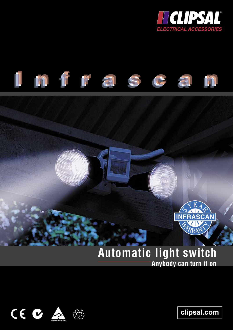





# **Automatic light switch Anybody can turn it on**

mmmmmm



**clipsal.com**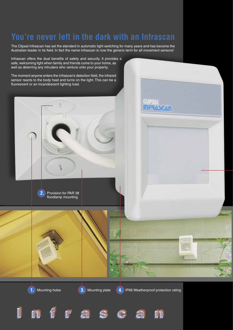# **You're never left in the dark with an Infrascan**

The Clipsal Infrascan has set the standard in automatic light switching for many years and has become the Australian leader in its field. In fact the name Infrascan is now the generic term for all movement sensors!

Infrascan offers the dual benefits of safety and security. It provides a safe, welcoming light when family and friends come to your home, as well as deterring any intruders who venture onto your property.

The moment anyone enters the Infrascan's detection field, the infrared sensor reacts to the body heat and turns on the light. This can be a fluorescent or an incandescent lighting load.

> **2.** Provision for PAR 38 floodlamp mounting

**3.** Mounting plate

**Infrascan Infrascan Infrascan**

**1.** Mounting holes **4.** IP66 Weatherproof protection rating

**UP ME** 

**ULEYRAL**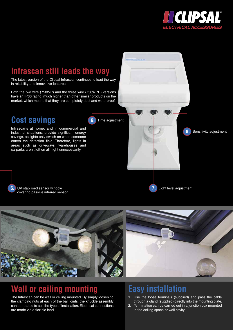

**8.** Sensitivity adjustment

## **Infrascan still leads the way**

The latest version of the Clipsal Infrascan continues to lead the way in reliability and innovative features.

Both the two wire (750WP) and the three wire (750WPR) versions have an IP66 rating, much higher than other similar products on the market, which means that they are completely dust and waterproof.

### **Cost savings**

Infrascans at home, and in commercial and industrial situations, provide significant energy savings, as lights only switch on when someone enters the detection field. Therefore, lights in areas such as driveways, warehouses and carparks aren't left on all night unnecessarily.

**5.** UV stabilised sensor window covering passive infrared sensor **6.** Time adjustment



**7.** Light level adjustment

### **Wall or ceiling mounting**

The Infrascan can be wall or ceiling mounted. By simply loosening the clamping nuts at each of the ball joints, the knuckle assembly can be rotated to suit the type of installation. Electrical connections are made via a flexible lead.

### **Easy installation**

- 1. Use the loose terminals (supplied) and pass the cable through a gland (supplied) directly into the mounting plate.
- 2. Termination can be carried out in a junction box mounted in the ceiling space or wall cavity.